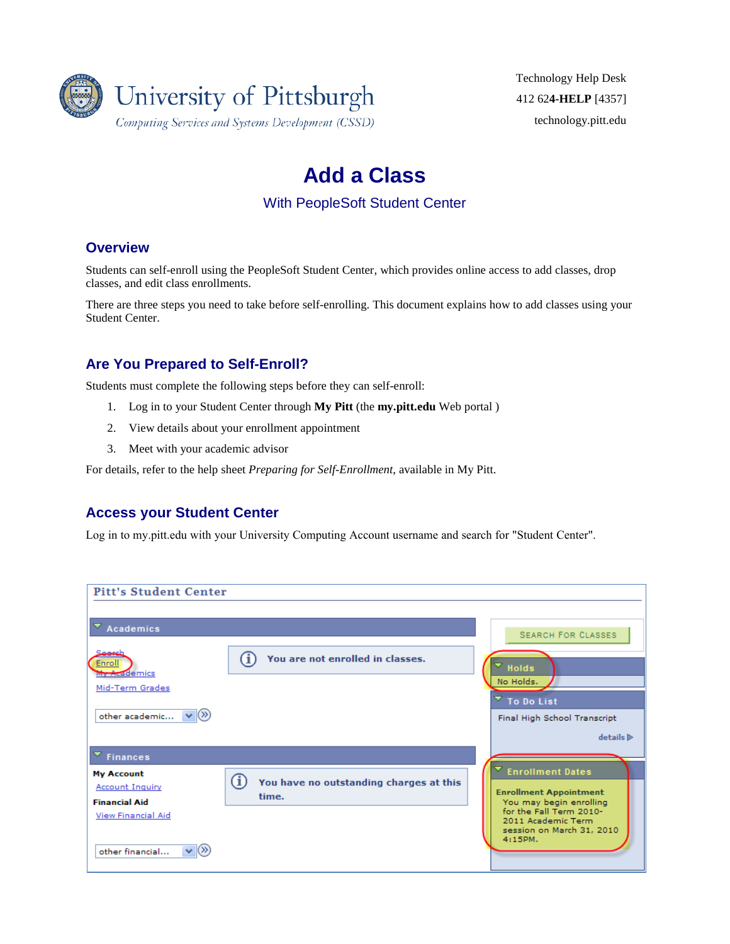

Technology Help Desk 412 62**4-HELP** [4357] [technology.pitt.edu](http://technology.pitt.edu/)

# **Add a Class**

With PeopleSoft Student Center

### **Overview**

Students can self-enroll using the PeopleSoft Student Center, which provides online access to add classes, drop classes, and edit class enrollments.

There are three steps you need to take before self-enrolling. This document explains how to add classes using your Student Center.

## **Are You Prepared to Self-Enroll?**

Students must complete the following steps before they can self-enroll:

- 1. Log in to your Student Center through **My Pitt** (the **my.pitt.edu** Web portal )
- 2. View details about your enrollment appointment
- 3. Meet with your academic advisor

For details, refer to the help sheet *Preparing for Self-Enrollment*, available in My Pitt.

### **Access your Student Center**

Log in to my.pitt.edu with your University Computing Account username and search for "Student Center".

| <b>Pitt's Student Center</b>              |                                              |                                     |                  |
|-------------------------------------------|----------------------------------------------|-------------------------------------|------------------|
|                                           |                                              |                                     |                  |
|                                           |                                              |                                     |                  |
|                                           |                                              |                                     |                  |
| Academics                                 |                                              | <b>SEARCH FOR CLASSES</b>           |                  |
|                                           |                                              |                                     |                  |
| Seerel                                    | You are not enrolled in classes.             |                                     |                  |
| Enroll                                    |                                              | $\mathbf{v}$ Holds                  |                  |
| My Academics                              |                                              |                                     |                  |
| Mid-Term Grades                           |                                              | No Holds.                           |                  |
|                                           |                                              | $\overline{\phantom{a}}$ To Do List |                  |
|                                           |                                              |                                     |                  |
| other academic $ \mathbf{v} (\mathbf{W})$ |                                              | Final High School Transcript        |                  |
|                                           |                                              |                                     |                  |
|                                           |                                              |                                     | details <b>D</b> |
|                                           |                                              |                                     |                  |
| $\overline{\phantom{a}}$ Finances         |                                              |                                     |                  |
| <b>My Account</b>                         |                                              | <b>Enrollment Dates</b>             |                  |
|                                           | Ŧ<br>You have no outstanding charges at this |                                     |                  |
| <b>Account Inquiry</b>                    |                                              | <b>Enrollment Appointment</b>       |                  |
| <b>Financial Aid</b>                      | time.                                        | You may begin enrolling             |                  |
| <b>View Financial Aid</b>                 |                                              | for the Fall Term 2010-             |                  |
|                                           |                                              | 2011 Academic Term                  |                  |
|                                           |                                              | session on March 31, 2010           |                  |
|                                           |                                              | 4:15PM.                             |                  |
| $\vee$ $\vee$<br>other financial          |                                              |                                     |                  |
|                                           |                                              |                                     |                  |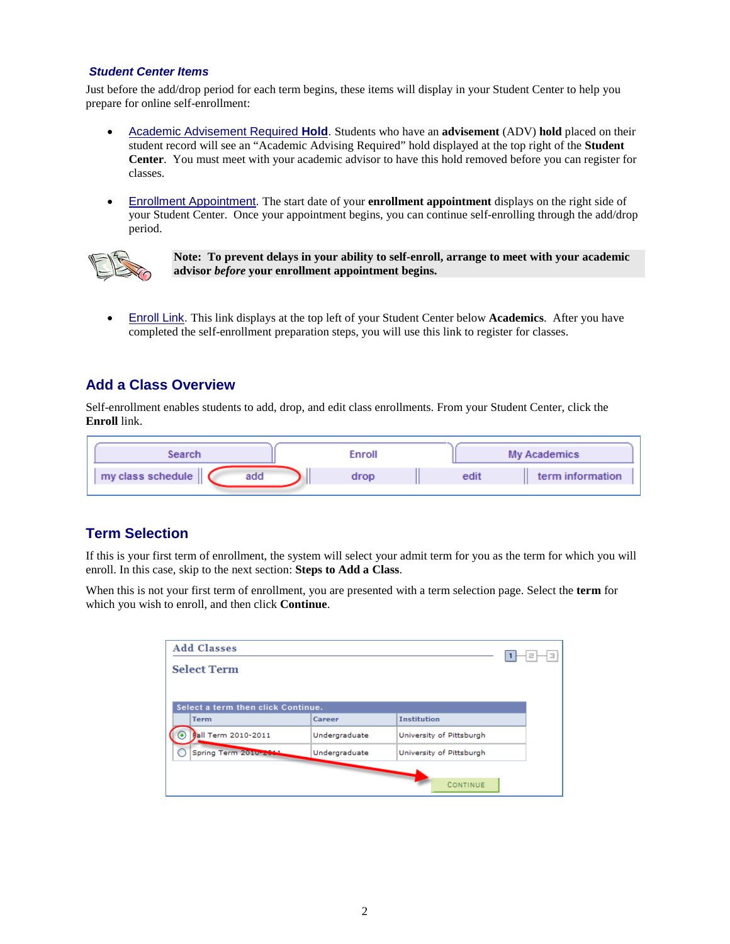#### *Student Center Items*

Just before the add/drop period for each term begins, these items will display in your Student Center to help you prepare for online self-enrollment:

- Academic Advisement Required **Hold**. Students who have an **advisement** (ADV) **hold** placed on their student record will see an "Academic Advising Required" hold displayed at the top right of the **Student Center**. You must meet with your academic advisor to have this hold removed before you can register for classes.
- Enrollment Appointment. The start date of your **enrollment appointment** displays on the right side of your Student Center. Once your appointment begins, you can continue self-enrolling through the add/drop period.



**Note: To prevent delays in your ability to self-enroll, arrange to meet with your academic advisor** *before* **your enrollment appointment begins.**

• Enroll Link. This link displays at the top left of your Student Center below **Academics**. After you have completed the self-enrollment preparation steps, you will use this link to register for classes.

### **Add a Class Overview**

Self-enrollment enables students to add, drop, and edit class enrollments. From your Student Center, click the **Enroll** link.

| Search                   | Enroll |      | <b>My Academics</b> |
|--------------------------|--------|------|---------------------|
| my class schedule<br>add | drop   | edit | term information    |

### **Term Selection**

If this is your first term of enrollment, the system will select your admit term for you as the term for which you will enroll. In this case, skip to the next section: **[Steps to Add a Class](#page-1-0)**.

When this is not your first term of enrollment, you are presented with a term selection page. Select the **term** for which you wish to enroll, and then click **Continue**.

<span id="page-1-0"></span>

| <b>Add Classes</b>                 |               |                          | Ε |
|------------------------------------|---------------|--------------------------|---|
| <b>Select Term</b>                 |               |                          |   |
|                                    |               |                          |   |
| Select a term then click Continue. |               |                          |   |
| <b>Term</b>                        | Career        | <b>Institution</b>       |   |
| <b>Ball Term 2010-2011</b>         | Undergraduate | University of Pittsburgh |   |
| Spring Term 2010-2014              | Undergraduate | University of Pittsburgh |   |
|                                    |               |                          |   |
|                                    |               | CONTINUE                 |   |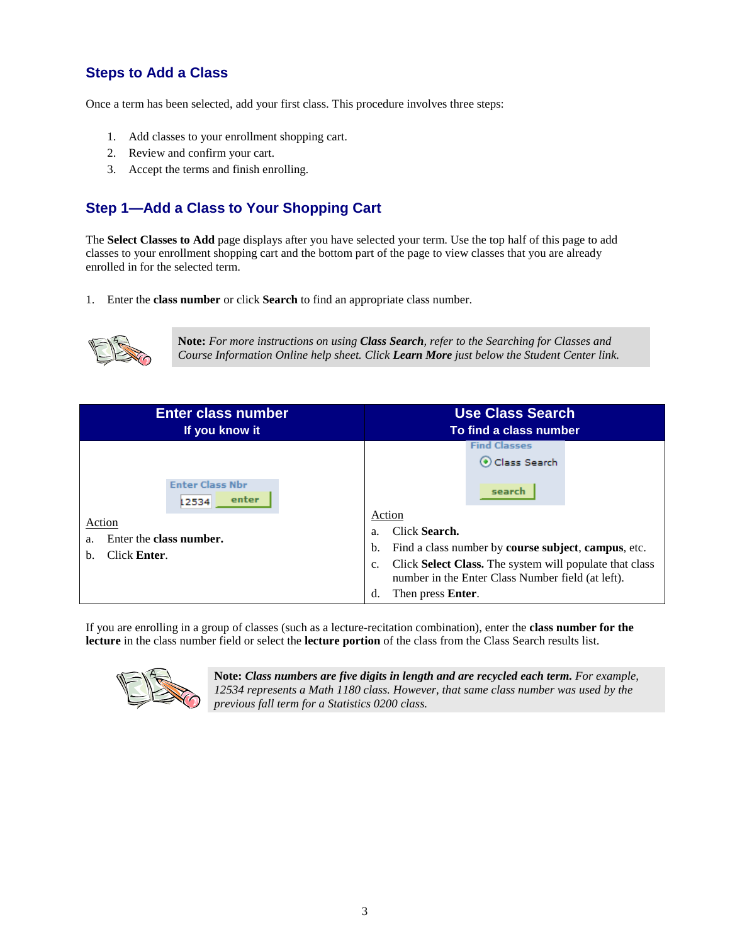# **Steps to Add a Class**

Once a term has been selected, add your first class. This procedure involves three steps:

- 1. [Add classes to your enrollment shopping cart.](#page-2-0)
- 2. [Review and confirm your cart.](#page-4-0)
- 3. [Accept the terms and finish enrolling.](#page-4-1)

# <span id="page-2-0"></span>**Step 1—Add a Class to Your Shopping Cart**

The **Select Classes to Add** page displays after you have selected your term. Use the top half of this page to add classes to your enrollment shopping cart and the bottom part of the page to view classes that you are already enrolled in for the selected term.

1. Enter the **class number** or click **Search** to find an appropriate class number.



**Note:** *For more instructions on using Class Search, refer to the Searching for Classes and Course Information Online help sheet. Click Learn More just below the Student Center link.*

| <b>Enter class number</b>                                                                                 | <b>Use Class Search</b>                                                                                                                                                                                                                                                                               |
|-----------------------------------------------------------------------------------------------------------|-------------------------------------------------------------------------------------------------------------------------------------------------------------------------------------------------------------------------------------------------------------------------------------------------------|
| If you know it                                                                                            | To find a class number                                                                                                                                                                                                                                                                                |
| <b>Enter Class Nbr</b><br>enter<br>12534<br>Action<br>Enter the class number.<br>a.<br>Click Enter.<br>b. | <b>Find Classes</b><br>Class Search<br>search<br>Action<br>Click Search.<br>a.<br>Find a class number by course subject, campus, etc.<br>b.<br>Click Select Class. The system will populate that class<br>$C_{\star}$<br>number in the Enter Class Number field (at left).<br>Then press Enter.<br>d. |

If you are enrolling in a group of classes (such as a lecture-recitation combination), enter the **class number for the lecture** in the class number field or select the **lecture portion** of the class from the Class Search results list.



**Note:** *Class numbers are five digits in length and are recycled each term. For example, 12534 represents a Math 1180 class. However, that same class number was used by the previous fall term for a Statistics 0200 class.*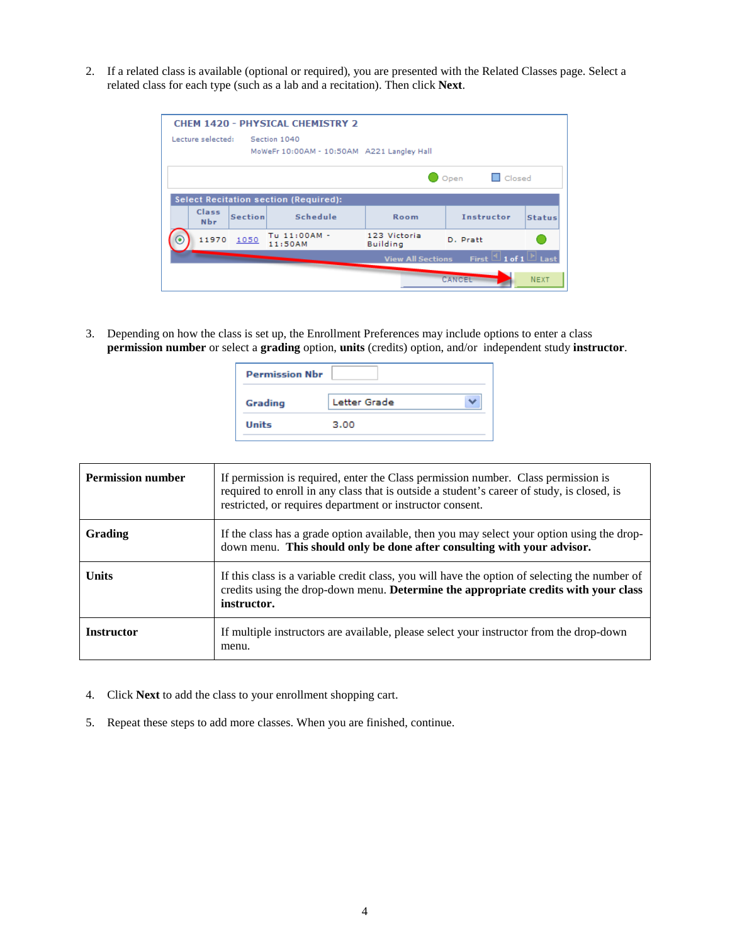2. If a related class is available (optional or required), you are presented with the Related Classes page. Select a related class for each type (such as a lab and a recitation). Then click **Next**.

|                     |                | <b>CHEM 1420 - PHYSICAL CHEMISTRY 2</b>                    |                                 |                                    |               |
|---------------------|----------------|------------------------------------------------------------|---------------------------------|------------------------------------|---------------|
| Lecture selected:   |                | Section 1040<br>MoWeFr 10:00AM - 10:50AM A221 Langley Hall |                                 |                                    |               |
|                     |                |                                                            |                                 | $\Box$ Closed<br>Open              |               |
|                     |                | <b>Select Recitation section (Required):</b>               |                                 |                                    |               |
| Class<br><b>Nbr</b> | <b>Section</b> | Schedule                                                   | Room                            | <b>Instructor</b>                  | <b>Status</b> |
| 11970               | 1050           | Tu 11:00AM -<br>11:50AM                                    | 123 Victoria<br><b>Building</b> | D. Pratt                           |               |
|                     |                |                                                            | <b>View All Sections</b>        | $1$ 1 of 1 $\vert$<br><b>First</b> | ∃ Last        |
|                     |                |                                                            |                                 | CANCEL                             | <b>NEXT</b>   |

3. Depending on how the class is set up, the Enrollment Preferences may include options to enter a class **permission number** or select a **grading** option, **units** (credits) option, and/or independent study **instructor**.

| <b>Permission Nbr</b> |              |
|-----------------------|--------------|
| Grading               | Letter Grade |
| <b>Units</b>          | 3.00         |
|                       |              |

| <b>Permission number</b> | If permission is required, enter the Class permission number. Class permission is<br>required to enroll in any class that is outside a student's career of study, is closed, is<br>restricted, or requires department or instructor consent. |
|--------------------------|----------------------------------------------------------------------------------------------------------------------------------------------------------------------------------------------------------------------------------------------|
| Grading                  | If the class has a grade option available, then you may select your option using the drop-<br>down menu. This should only be done after consulting with your advisor.                                                                        |
| <b>Units</b>             | If this class is a variable credit class, you will have the option of selecting the number of<br>credits using the drop-down menu. Determine the appropriate credits with your class<br>instructor.                                          |
| <b>Instructor</b>        | If multiple instructors are available, please select your instructor from the drop-down<br>menu.                                                                                                                                             |

- 4. Click **Next** to add the class to your enrollment shopping cart.
- 5. Repeat these steps to add more classes. When you are finished, continue.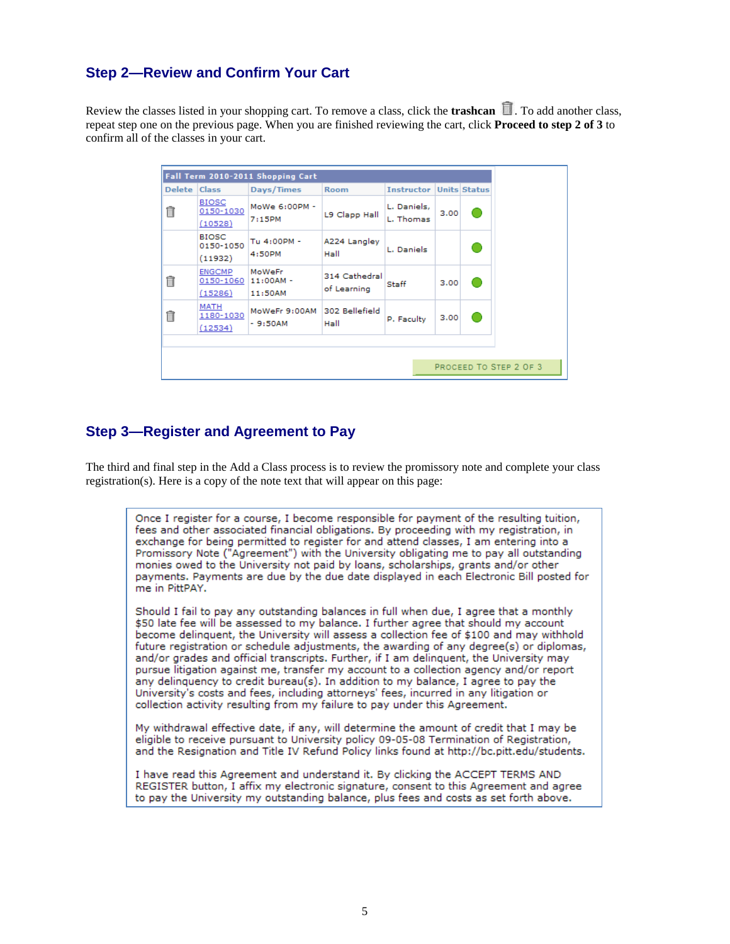### <span id="page-4-0"></span>**Step 2—Review and Confirm Your Cart**

Review the classes listed in your shopping cart. To remove a class, click the **trashcan .** To add another class, repeat step one on the previous page. When you are finished reviewing the cart, click **Proceed to step 2 of 3** to confirm all of the classes in your cart.

|               |                                                 | Fall Term 2010-2011 Shopping Cart |                              |                          |      |                        |
|---------------|-------------------------------------------------|-----------------------------------|------------------------------|--------------------------|------|------------------------|
| <b>Delete</b> | <b>Class</b>                                    | Days/Times                        | <b>Room</b>                  | <b>Instructor</b>        |      | <b>Units Status</b>    |
| ⋔             | <b>BIOSC</b><br>0150-1030                       | MoWe 6:00PM -<br>7:15PM           | L9 Clapp Hall                | L. Daniels,<br>L. Thomas | 3.00 |                        |
|               | (10528)<br><b>BIOSC</b><br>0150-1050<br>(11932) | Tu 4:00PM -<br>4:50PM             | A224 Langley<br>Hall         | L. Daniels               |      |                        |
| fi            | <b>ENGCMP</b><br>0150-1060<br>(15286)           | MoWeFr<br>$11:00AM -$<br>11:50AM  | 314 Cathedral<br>of Learning | Staff                    | 3.00 |                        |
| fi            | MATH<br>1180-1030<br>(12534)                    | MoWeFr 9:00AM<br>$-9:50AM$        | 302 Bellefield<br>Hall       | P. Faculty               | 3.00 |                        |
|               |                                                 |                                   |                              |                          |      |                        |
|               |                                                 |                                   |                              |                          |      | PROCEED TO STEP 2 OF 3 |

## <span id="page-4-1"></span>**Step 3—Register and Agreement to Pay**

The third and final step in the Add a Class process is to review the promissory note and complete your class registration(s). Here is a copy of the note text that will appear on this page:

Once I register for a course, I become responsible for payment of the resulting tuition, fees and other associated financial obligations. By proceeding with my registration, in exchange for being permitted to register for and attend classes, I am entering into a Promissory Note ("Agreement") with the University obligating me to pay all outstanding monies owed to the University not paid by loans, scholarships, grants and/or other payments. Payments are due by the due date displayed in each Electronic Bill posted for me in PittPAY.

Should I fail to pay any outstanding balances in full when due, I agree that a monthly \$50 late fee will be assessed to my balance. I further agree that should my account become delinquent, the University will assess a collection fee of \$100 and may withhold future registration or schedule adjustments, the awarding of any degree(s) or diplomas, and/or grades and official transcripts. Further, if I am delinguent, the University may pursue litigation against me, transfer my account to a collection agency and/or report any delinquency to credit bureau(s). In addition to my balance, I agree to pay the University's costs and fees, including attorneys' fees, incurred in any litigation or collection activity resulting from my failure to pay under this Agreement.

My withdrawal effective date, if any, will determine the amount of credit that I may be eligible to receive pursuant to University policy 09-05-08 Termination of Registration, and the Resignation and Title IV Refund Policy links found at http://bc.pitt.edu/students.

I have read this Agreement and understand it. By clicking the ACCEPT TERMS AND REGISTER button, I affix my electronic signature, consent to this Agreement and agree to pay the University my outstanding balance, plus fees and costs as set forth above.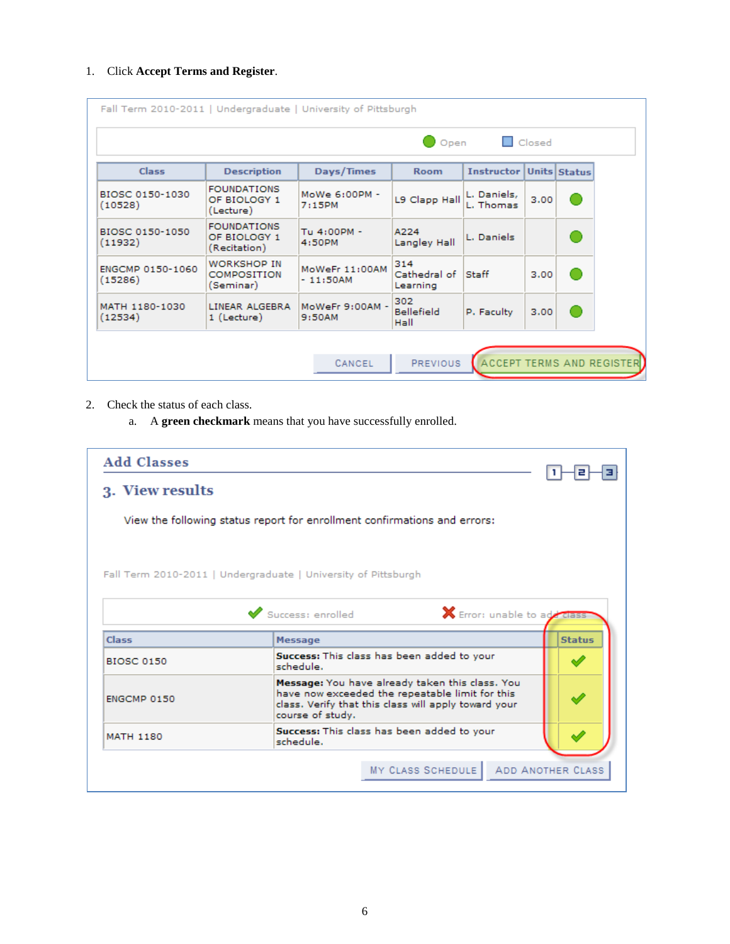### 1. Click **Accept Terms and Register**.

| <b>Closed</b><br>Open<br>Class<br>Days/Times<br><b>Instructor Units Status</b><br><b>Description</b><br><b>Room</b><br><b>FOUNDATIONS</b><br>BIOSC 0150-1030<br>MoWe 6:00PM -<br>L. Daniels,<br>L9 Clapp Hall<br>3.00<br>OF BIOLOGY 1<br>L. Thomas<br>(10528)<br>7:15PM<br>(Lecture)<br><b>FOUNDATIONS</b><br>BIOSC 0150-1050<br>Tu 4:00PM -<br>A224<br>OF BIOLOGY 1<br>L. Daniels<br>(11932)<br>4:50PM<br>Langley Hall<br>(Recitation)<br>314<br><b>WORKSHOP IN</b><br>MoWeFr 11:00AM<br>ENGCMP 0150-1060<br>Cathedral of<br>Staff<br><b>COMPOSITION</b><br>3.00<br>(15286)<br>$-11:50AM$<br>(Seminar)<br>Learning<br>302<br>MoWeFr 9:00AM -<br>MATH 1180-1030<br>LINEAR ALGEBRA<br><b>Bellefield</b><br>P. Faculty<br>3.00<br>(12534)<br>1 (Lecture)<br>9:50AM<br>Hall | Fall Term 2010-2011   Undergraduate   University of Pittsburgh |        |          |                                  |  |
|--------------------------------------------------------------------------------------------------------------------------------------------------------------------------------------------------------------------------------------------------------------------------------------------------------------------------------------------------------------------------------------------------------------------------------------------------------------------------------------------------------------------------------------------------------------------------------------------------------------------------------------------------------------------------------------------------------------------------------------------------------------------------|----------------------------------------------------------------|--------|----------|----------------------------------|--|
|                                                                                                                                                                                                                                                                                                                                                                                                                                                                                                                                                                                                                                                                                                                                                                          |                                                                |        |          |                                  |  |
|                                                                                                                                                                                                                                                                                                                                                                                                                                                                                                                                                                                                                                                                                                                                                                          |                                                                |        |          |                                  |  |
|                                                                                                                                                                                                                                                                                                                                                                                                                                                                                                                                                                                                                                                                                                                                                                          |                                                                |        |          |                                  |  |
|                                                                                                                                                                                                                                                                                                                                                                                                                                                                                                                                                                                                                                                                                                                                                                          |                                                                |        |          |                                  |  |
|                                                                                                                                                                                                                                                                                                                                                                                                                                                                                                                                                                                                                                                                                                                                                                          |                                                                |        |          |                                  |  |
|                                                                                                                                                                                                                                                                                                                                                                                                                                                                                                                                                                                                                                                                                                                                                                          |                                                                |        |          |                                  |  |
|                                                                                                                                                                                                                                                                                                                                                                                                                                                                                                                                                                                                                                                                                                                                                                          |                                                                | CANCEL | PREVIOUS | <b>ACCEPT TERMS AND REGISTER</b> |  |

#### 2. Check the status of each class.

a. A **green checkmark** means that you have successfully enrolled.

| <b>Add Classes</b> |                                                                                                                                                                                |               |
|--------------------|--------------------------------------------------------------------------------------------------------------------------------------------------------------------------------|---------------|
| 3. View results    |                                                                                                                                                                                |               |
|                    | View the following status report for enrollment confirmations and errors:                                                                                                      |               |
|                    | Fall Term 2010-2011   Undergraduate   University of Pittsburgh                                                                                                                 |               |
|                    | Success: enrolled<br><b>X</b> Error: unable to add class                                                                                                                       |               |
|                    |                                                                                                                                                                                |               |
| Class              | Message                                                                                                                                                                        | <b>Status</b> |
| <b>BIOSC 0150</b>  | Success: This class has been added to your<br>schedule.                                                                                                                        |               |
| ENGCMP 0150        | Message: You have already taken this class. You<br>have now exceeded the repeatable limit for this<br>class. Verify that this class will apply toward your<br>course of study. |               |
|                    |                                                                                                                                                                                |               |
| <b>MATH 1180</b>   | Success: This class has been added to your<br>schedule.                                                                                                                        |               |